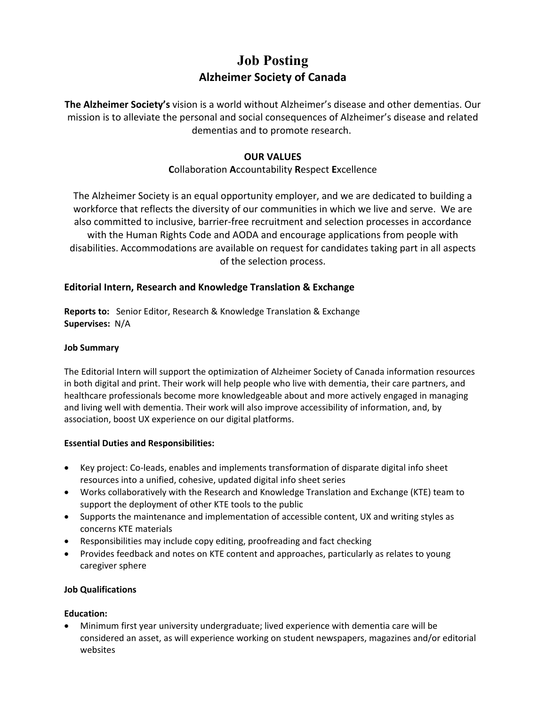## **Job Posting Alzheimer Society of Canada**

**The Alzheimer Society's** vision is a world without Alzheimer's disease and other dementias. Our mission is to alleviate the personal and social consequences of Alzheimer's disease and related dementias and to promote research.

## **OUR VALUES**

## **C**ollaboration **A**ccountability **R**espect **E**xcellence

The Alzheimer Society is an equal opportunity employer, and we are dedicated to building a workforce that reflects the diversity of our communities in which we live and serve. We are also committed to inclusive, barrier-free recruitment and selection processes in accordance with the Human Rights Code and AODA and encourage applications from people with disabilities. Accommodations are available on request for candidates taking part in all aspects of the selection process.

## **Editorial Intern, Research and Knowledge Translation & Exchange**

**Reports to:** Senior Editor, Research & Knowledge Translation & Exchange **Supervises:** N/A

#### **Job Summary**

The Editorial Intern will support the optimization of Alzheimer Society of Canada information resources in both digital and print. Their work will help people who live with dementia, their care partners, and healthcare professionals become more knowledgeable about and more actively engaged in managing and living well with dementia. Their work will also improve accessibility of information, and, by association, boost UX experience on our digital platforms.

## **Essential Duties and Responsibilities:**

- Key project: Co-leads, enables and implements transformation of disparate digital info sheet resources into a unified, cohesive, updated digital info sheet series
- Works collaboratively with the Research and Knowledge Translation and Exchange (KTE) team to support the deployment of other KTE tools to the public
- Supports the maintenance and implementation of accessible content, UX and writing styles as concerns KTE materials
- Responsibilities may include copy editing, proofreading and fact checking
- Provides feedback and notes on KTE content and approaches, particularly as relates to young caregiver sphere

#### **Job Qualifications**

#### **Education:**

• Minimum first year university undergraduate; lived experience with dementia care will be considered an asset, as will experience working on student newspapers, magazines and/or editorial websites